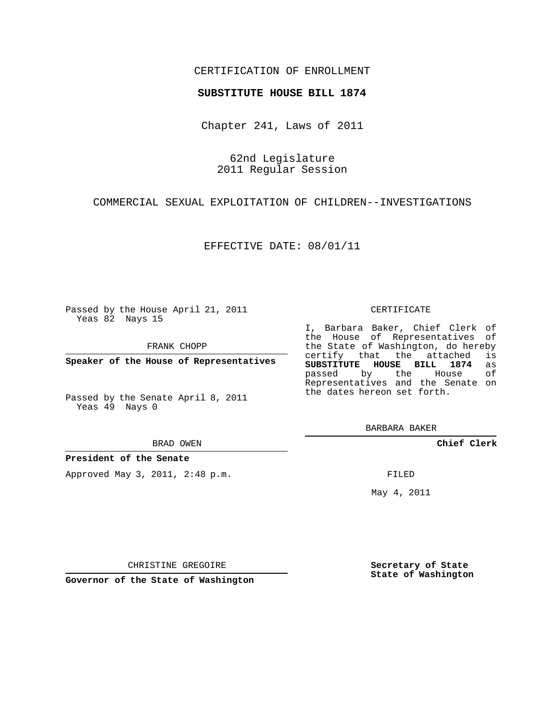## CERTIFICATION OF ENROLLMENT

#### **SUBSTITUTE HOUSE BILL 1874**

Chapter 241, Laws of 2011

62nd Legislature 2011 Regular Session

COMMERCIAL SEXUAL EXPLOITATION OF CHILDREN--INVESTIGATIONS

EFFECTIVE DATE: 08/01/11

Passed by the House April 21, 2011 Yeas 82 Nays 15

FRANK CHOPP

**Speaker of the House of Representatives**

Passed by the Senate April 8, 2011 Yeas 49 Nays 0

#### BRAD OWEN

**President of the Senate**

Approved May 3, 2011, 2:48 p.m.

#### CERTIFICATE

I, Barbara Baker, Chief Clerk of the House of Representatives of the State of Washington, do hereby<br>certify that the attached is certify that the attached **SUBSTITUTE HOUSE BILL 1874** as passed by the House Representatives and the Senate on the dates hereon set forth.

BARBARA BAKER

**Chief Clerk**

FILED

May 4, 2011

**Secretary of State State of Washington**

CHRISTINE GREGOIRE

**Governor of the State of Washington**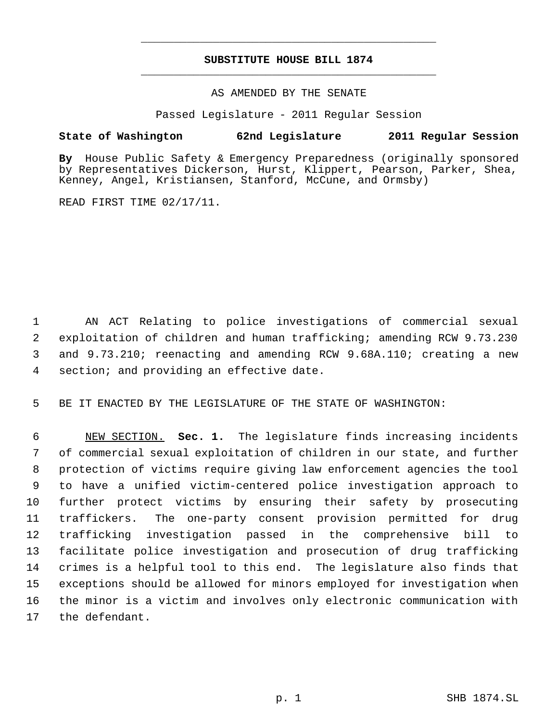# **SUBSTITUTE HOUSE BILL 1874** \_\_\_\_\_\_\_\_\_\_\_\_\_\_\_\_\_\_\_\_\_\_\_\_\_\_\_\_\_\_\_\_\_\_\_\_\_\_\_\_\_\_\_\_\_

\_\_\_\_\_\_\_\_\_\_\_\_\_\_\_\_\_\_\_\_\_\_\_\_\_\_\_\_\_\_\_\_\_\_\_\_\_\_\_\_\_\_\_\_\_

### AS AMENDED BY THE SENATE

Passed Legislature - 2011 Regular Session

## **State of Washington 62nd Legislature 2011 Regular Session**

**By** House Public Safety & Emergency Preparedness (originally sponsored by Representatives Dickerson, Hurst, Klippert, Pearson, Parker, Shea, Kenney, Angel, Kristiansen, Stanford, McCune, and Ormsby)

READ FIRST TIME 02/17/11.

 AN ACT Relating to police investigations of commercial sexual exploitation of children and human trafficking; amending RCW 9.73.230 and 9.73.210; reenacting and amending RCW 9.68A.110; creating a new section; and providing an effective date.

BE IT ENACTED BY THE LEGISLATURE OF THE STATE OF WASHINGTON:

 NEW SECTION. **Sec. 1.** The legislature finds increasing incidents of commercial sexual exploitation of children in our state, and further protection of victims require giving law enforcement agencies the tool to have a unified victim-centered police investigation approach to further protect victims by ensuring their safety by prosecuting traffickers. The one-party consent provision permitted for drug trafficking investigation passed in the comprehensive bill to facilitate police investigation and prosecution of drug trafficking crimes is a helpful tool to this end. The legislature also finds that exceptions should be allowed for minors employed for investigation when the minor is a victim and involves only electronic communication with the defendant.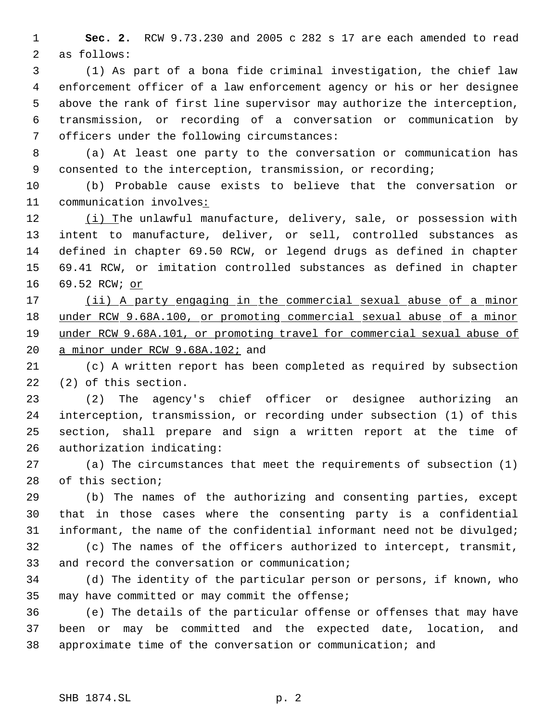**Sec. 2.** RCW 9.73.230 and 2005 c 282 s 17 are each amended to read as follows:

 (1) As part of a bona fide criminal investigation, the chief law enforcement officer of a law enforcement agency or his or her designee above the rank of first line supervisor may authorize the interception, transmission, or recording of a conversation or communication by officers under the following circumstances:

 (a) At least one party to the conversation or communication has consented to the interception, transmission, or recording;

 (b) Probable cause exists to believe that the conversation or communication involves:

12 (i) The unlawful manufacture, delivery, sale, or possession with intent to manufacture, deliver, or sell, controlled substances as defined in chapter 69.50 RCW, or legend drugs as defined in chapter 69.41 RCW, or imitation controlled substances as defined in chapter 69.52 RCW; or

 (ii) A party engaging in the commercial sexual abuse of a minor under RCW 9.68A.100, or promoting commercial sexual abuse of a minor under RCW 9.68A.101, or promoting travel for commercial sexual abuse of 20 a minor under RCW 9.68A.102; and

 (c) A written report has been completed as required by subsection (2) of this section.

 (2) The agency's chief officer or designee authorizing an interception, transmission, or recording under subsection (1) of this section, shall prepare and sign a written report at the time of authorization indicating:

 (a) The circumstances that meet the requirements of subsection (1) of this section;

 (b) The names of the authorizing and consenting parties, except that in those cases where the consenting party is a confidential 31 informant, the name of the confidential informant need not be divulged;

 (c) The names of the officers authorized to intercept, transmit, and record the conversation or communication;

 (d) The identity of the particular person or persons, if known, who may have committed or may commit the offense;

 (e) The details of the particular offense or offenses that may have been or may be committed and the expected date, location, and approximate time of the conversation or communication; and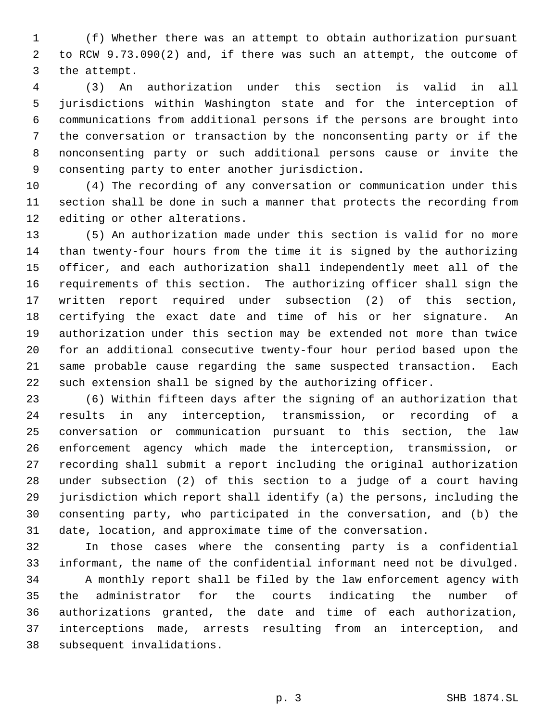(f) Whether there was an attempt to obtain authorization pursuant to RCW 9.73.090(2) and, if there was such an attempt, the outcome of the attempt.

 (3) An authorization under this section is valid in all jurisdictions within Washington state and for the interception of communications from additional persons if the persons are brought into the conversation or transaction by the nonconsenting party or if the nonconsenting party or such additional persons cause or invite the consenting party to enter another jurisdiction.

 (4) The recording of any conversation or communication under this section shall be done in such a manner that protects the recording from editing or other alterations.

 (5) An authorization made under this section is valid for no more than twenty-four hours from the time it is signed by the authorizing officer, and each authorization shall independently meet all of the requirements of this section. The authorizing officer shall sign the written report required under subsection (2) of this section, certifying the exact date and time of his or her signature. An authorization under this section may be extended not more than twice for an additional consecutive twenty-four hour period based upon the same probable cause regarding the same suspected transaction. Each such extension shall be signed by the authorizing officer.

 (6) Within fifteen days after the signing of an authorization that results in any interception, transmission, or recording of a conversation or communication pursuant to this section, the law enforcement agency which made the interception, transmission, or recording shall submit a report including the original authorization under subsection (2) of this section to a judge of a court having jurisdiction which report shall identify (a) the persons, including the consenting party, who participated in the conversation, and (b) the date, location, and approximate time of the conversation.

 In those cases where the consenting party is a confidential informant, the name of the confidential informant need not be divulged. A monthly report shall be filed by the law enforcement agency with the administrator for the courts indicating the number of authorizations granted, the date and time of each authorization, interceptions made, arrests resulting from an interception, and subsequent invalidations.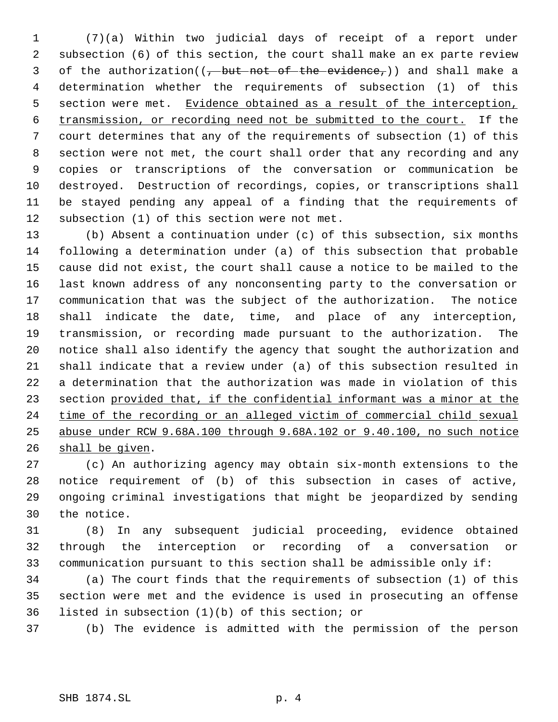(7)(a) Within two judicial days of receipt of a report under subsection (6) of this section, the court shall make an ex parte review 3 of the authorization( $(-$ but not of the evidence,)) and shall make a determination whether the requirements of subsection (1) of this 5 section were met. Evidence obtained as a result of the interception, transmission, or recording need not be submitted to the court. If the court determines that any of the requirements of subsection (1) of this section were not met, the court shall order that any recording and any copies or transcriptions of the conversation or communication be destroyed. Destruction of recordings, copies, or transcriptions shall be stayed pending any appeal of a finding that the requirements of subsection (1) of this section were not met.

 (b) Absent a continuation under (c) of this subsection, six months following a determination under (a) of this subsection that probable cause did not exist, the court shall cause a notice to be mailed to the last known address of any nonconsenting party to the conversation or communication that was the subject of the authorization. The notice shall indicate the date, time, and place of any interception, transmission, or recording made pursuant to the authorization. The notice shall also identify the agency that sought the authorization and shall indicate that a review under (a) of this subsection resulted in a determination that the authorization was made in violation of this section provided that, if the confidential informant was a minor at the 24 time of the recording or an alleged victim of commercial child sexual abuse under RCW 9.68A.100 through 9.68A.102 or 9.40.100, no such notice shall be given.

 (c) An authorizing agency may obtain six-month extensions to the notice requirement of (b) of this subsection in cases of active, ongoing criminal investigations that might be jeopardized by sending the notice.

 (8) In any subsequent judicial proceeding, evidence obtained through the interception or recording of a conversation or communication pursuant to this section shall be admissible only if:

 (a) The court finds that the requirements of subsection (1) of this section were met and the evidence is used in prosecuting an offense listed in subsection (1)(b) of this section; or

(b) The evidence is admitted with the permission of the person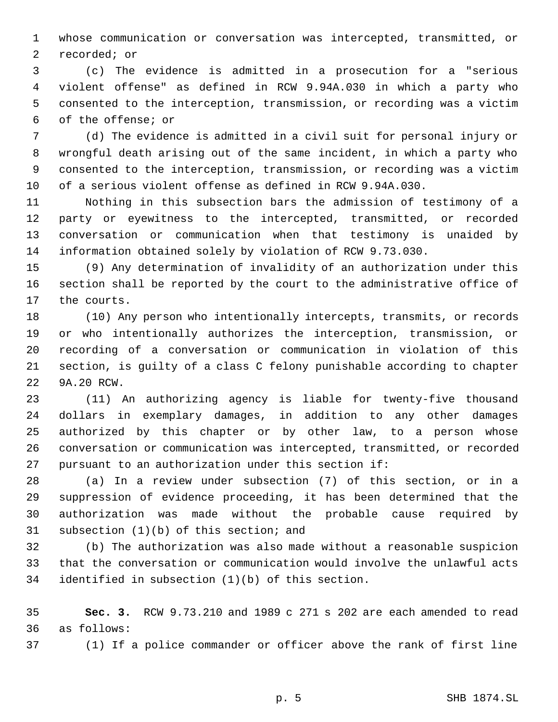whose communication or conversation was intercepted, transmitted, or recorded; or

 (c) The evidence is admitted in a prosecution for a "serious violent offense" as defined in RCW 9.94A.030 in which a party who consented to the interception, transmission, or recording was a victim of the offense; or

 (d) The evidence is admitted in a civil suit for personal injury or wrongful death arising out of the same incident, in which a party who consented to the interception, transmission, or recording was a victim of a serious violent offense as defined in RCW 9.94A.030.

 Nothing in this subsection bars the admission of testimony of a party or eyewitness to the intercepted, transmitted, or recorded conversation or communication when that testimony is unaided by information obtained solely by violation of RCW 9.73.030.

 (9) Any determination of invalidity of an authorization under this section shall be reported by the court to the administrative office of the courts.

 (10) Any person who intentionally intercepts, transmits, or records or who intentionally authorizes the interception, transmission, or recording of a conversation or communication in violation of this section, is guilty of a class C felony punishable according to chapter 9A.20 RCW.

 (11) An authorizing agency is liable for twenty-five thousand dollars in exemplary damages, in addition to any other damages authorized by this chapter or by other law, to a person whose conversation or communication was intercepted, transmitted, or recorded pursuant to an authorization under this section if:

 (a) In a review under subsection (7) of this section, or in a suppression of evidence proceeding, it has been determined that the authorization was made without the probable cause required by subsection (1)(b) of this section; and

 (b) The authorization was also made without a reasonable suspicion that the conversation or communication would involve the unlawful acts identified in subsection (1)(b) of this section.

 **Sec. 3.** RCW 9.73.210 and 1989 c 271 s 202 are each amended to read as follows:

(1) If a police commander or officer above the rank of first line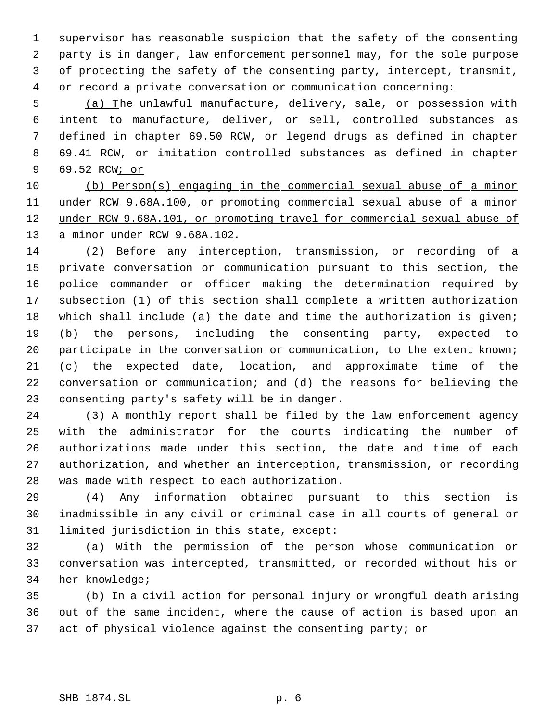supervisor has reasonable suspicion that the safety of the consenting party is in danger, law enforcement personnel may, for the sole purpose of protecting the safety of the consenting party, intercept, transmit, 4 or record a private conversation or communication concerning:

 (a) The unlawful manufacture, delivery, sale, or possession with intent to manufacture, deliver, or sell, controlled substances as defined in chapter 69.50 RCW, or legend drugs as defined in chapter 69.41 RCW, or imitation controlled substances as defined in chapter 69.52 RCW; or

 (b) Person(s) engaging in the commercial sexual abuse of a minor under RCW 9.68A.100, or promoting commercial sexual abuse of a minor 12 under RCW 9.68A.101, or promoting travel for commercial sexual abuse of a minor under RCW 9.68A.102.

 (2) Before any interception, transmission, or recording of a private conversation or communication pursuant to this section, the police commander or officer making the determination required by subsection (1) of this section shall complete a written authorization which shall include (a) the date and time the authorization is given; (b) the persons, including the consenting party, expected to 20 participate in the conversation or communication, to the extent known; (c) the expected date, location, and approximate time of the conversation or communication; and (d) the reasons for believing the consenting party's safety will be in danger.

 (3) A monthly report shall be filed by the law enforcement agency with the administrator for the courts indicating the number of authorizations made under this section, the date and time of each authorization, and whether an interception, transmission, or recording was made with respect to each authorization.

 (4) Any information obtained pursuant to this section is inadmissible in any civil or criminal case in all courts of general or limited jurisdiction in this state, except:

 (a) With the permission of the person whose communication or conversation was intercepted, transmitted, or recorded without his or her knowledge;

 (b) In a civil action for personal injury or wrongful death arising out of the same incident, where the cause of action is based upon an act of physical violence against the consenting party; or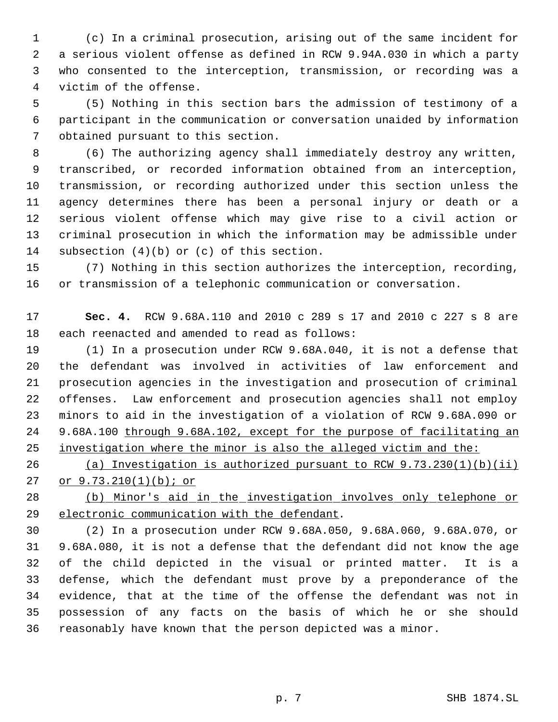(c) In a criminal prosecution, arising out of the same incident for a serious violent offense as defined in RCW 9.94A.030 in which a party who consented to the interception, transmission, or recording was a victim of the offense.

 (5) Nothing in this section bars the admission of testimony of a participant in the communication or conversation unaided by information obtained pursuant to this section.

 (6) The authorizing agency shall immediately destroy any written, transcribed, or recorded information obtained from an interception, transmission, or recording authorized under this section unless the agency determines there has been a personal injury or death or a serious violent offense which may give rise to a civil action or criminal prosecution in which the information may be admissible under subsection (4)(b) or (c) of this section.

 (7) Nothing in this section authorizes the interception, recording, or transmission of a telephonic communication or conversation.

 **Sec. 4.** RCW 9.68A.110 and 2010 c 289 s 17 and 2010 c 227 s 8 are each reenacted and amended to read as follows:

 (1) In a prosecution under RCW 9.68A.040, it is not a defense that the defendant was involved in activities of law enforcement and prosecution agencies in the investigation and prosecution of criminal offenses. Law enforcement and prosecution agencies shall not employ minors to aid in the investigation of a violation of RCW 9.68A.090 or 9.68A.100 through 9.68A.102, except for the purpose of facilitating an investigation where the minor is also the alleged victim and the:

 (a) Investigation is authorized pursuant to RCW 9.73.230(1)(b)(ii) or 9.73.210(1)(b); or

 (b) Minor's aid in the investigation involves only telephone or 29 electronic communication with the defendant.

 (2) In a prosecution under RCW 9.68A.050, 9.68A.060, 9.68A.070, or 9.68A.080, it is not a defense that the defendant did not know the age of the child depicted in the visual or printed matter. It is a defense, which the defendant must prove by a preponderance of the evidence, that at the time of the offense the defendant was not in possession of any facts on the basis of which he or she should reasonably have known that the person depicted was a minor.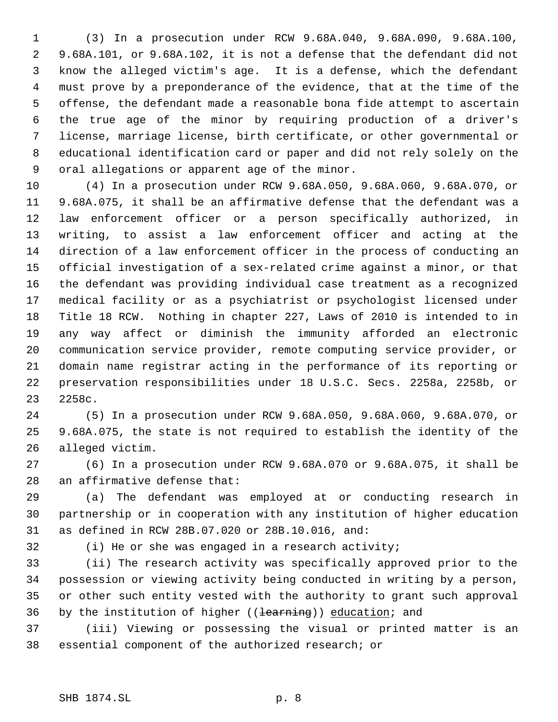(3) In a prosecution under RCW 9.68A.040, 9.68A.090, 9.68A.100, 9.68A.101, or 9.68A.102, it is not a defense that the defendant did not know the alleged victim's age. It is a defense, which the defendant must prove by a preponderance of the evidence, that at the time of the offense, the defendant made a reasonable bona fide attempt to ascertain the true age of the minor by requiring production of a driver's license, marriage license, birth certificate, or other governmental or educational identification card or paper and did not rely solely on the oral allegations or apparent age of the minor.

 (4) In a prosecution under RCW 9.68A.050, 9.68A.060, 9.68A.070, or 9.68A.075, it shall be an affirmative defense that the defendant was a law enforcement officer or a person specifically authorized, in writing, to assist a law enforcement officer and acting at the direction of a law enforcement officer in the process of conducting an official investigation of a sex-related crime against a minor, or that the defendant was providing individual case treatment as a recognized medical facility or as a psychiatrist or psychologist licensed under Title 18 RCW. Nothing in chapter 227, Laws of 2010 is intended to in any way affect or diminish the immunity afforded an electronic communication service provider, remote computing service provider, or domain name registrar acting in the performance of its reporting or preservation responsibilities under 18 U.S.C. Secs. 2258a, 2258b, or 2258c.

 (5) In a prosecution under RCW 9.68A.050, 9.68A.060, 9.68A.070, or 9.68A.075, the state is not required to establish the identity of the alleged victim.

 (6) In a prosecution under RCW 9.68A.070 or 9.68A.075, it shall be an affirmative defense that:

 (a) The defendant was employed at or conducting research in partnership or in cooperation with any institution of higher education as defined in RCW 28B.07.020 or 28B.10.016, and:

(i) He or she was engaged in a research activity;

 (ii) The research activity was specifically approved prior to the possession or viewing activity being conducted in writing by a person, or other such entity vested with the authority to grant such approval 36 by the institution of higher ((learning)) education; and

 (iii) Viewing or possessing the visual or printed matter is an essential component of the authorized research; or